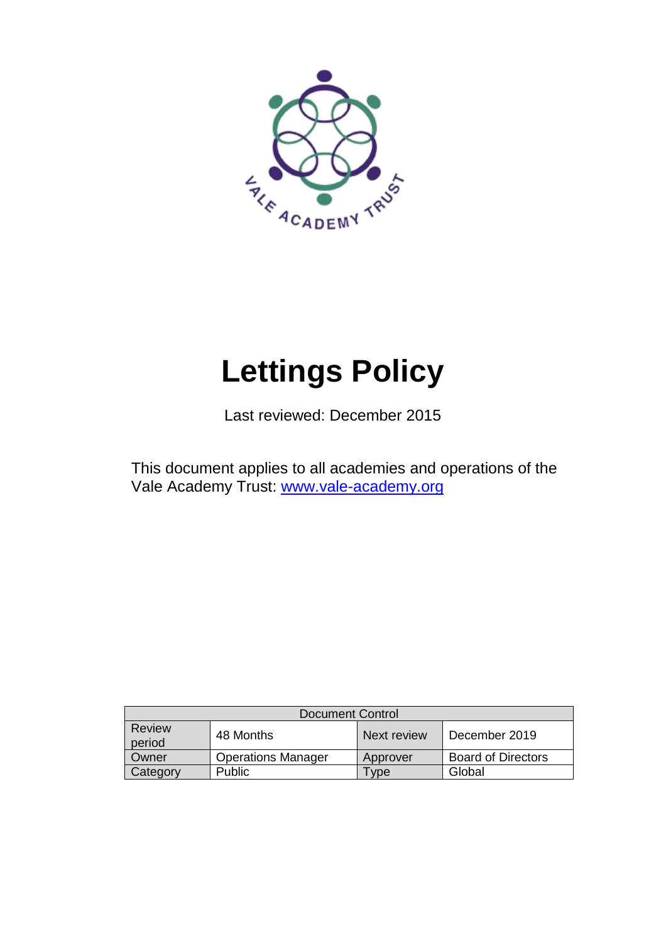

# **Lettings Policy**

Last reviewed: December 2015

This document applies to all academies and operations of the Vale Academy Trust: [www.vale-academy.org](http://www.vale-academy.org/)

| <b>Document Control</b> |                           |             |                           |
|-------------------------|---------------------------|-------------|---------------------------|
| Review<br>period        | 48 Months                 | Next review | December 2019             |
| Owner                   | <b>Operations Manager</b> | Approver    | <b>Board of Directors</b> |
| Category                | <b>Public</b>             | vpe         | Global                    |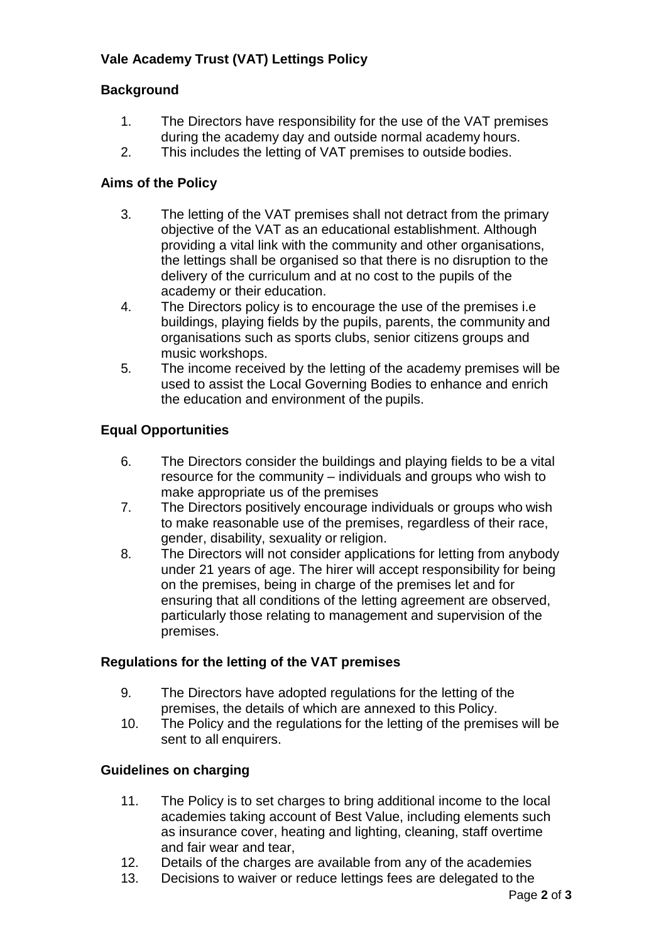## **Vale Academy Trust (VAT) Lettings Policy**

### **Background**

- 1. The Directors have responsibility for the use of the VAT premises during the academy day and outside normal academy hours.
- 2. This includes the letting of VAT premises to outside bodies.

### **Aims of the Policy**

- 3. The letting of the VAT premises shall not detract from the primary objective of the VAT as an educational establishment. Although providing a vital link with the community and other organisations, the lettings shall be organised so that there is no disruption to the delivery of the curriculum and at no cost to the pupils of the academy or their education.
- 4. The Directors policy is to encourage the use of the premises i.e buildings, playing fields by the pupils, parents, the community and organisations such as sports clubs, senior citizens groups and music workshops.
- 5. The income received by the letting of the academy premises will be used to assist the Local Governing Bodies to enhance and enrich the education and environment of the pupils.

### **Equal Opportunities**

- 6. The Directors consider the buildings and playing fields to be a vital resource for the community – individuals and groups who wish to make appropriate us of the premises
- 7. The Directors positively encourage individuals or groups who wish to make reasonable use of the premises, regardless of their race, gender, disability, sexuality or religion.
- 8. The Directors will not consider applications for letting from anybody under 21 years of age. The hirer will accept responsibility for being on the premises, being in charge of the premises let and for ensuring that all conditions of the letting agreement are observed, particularly those relating to management and supervision of the premises.

### **Regulations for the letting of the VAT premises**

- 9. The Directors have adopted regulations for the letting of the premises, the details of which are annexed to this Policy.
- 10. The Policy and the regulations for the letting of the premises will be sent to all enquirers.

### **Guidelines on charging**

- 11. The Policy is to set charges to bring additional income to the local academies taking account of Best Value, including elements such as insurance cover, heating and lighting, cleaning, staff overtime and fair wear and tear,
- 12. Details of the charges are available from any of the academies
- 13. Decisions to waiver or reduce lettings fees are delegated to the